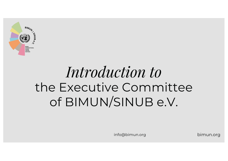

# *Introduction to* the Executive Committee of BIMUN/SINUB e.V.

info@bimun.org bimun.org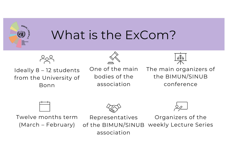

### What is the ExCom?



Ideally 8 – 12 students from the University of Bonn



One of the main bodies of the association



The main organizers of the BIMUN/SINUB conference







Twelve months term (March – February)

Organizers of the weekly Lecture Series Representatives of the BIMUN/SINUB association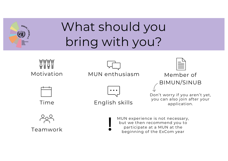

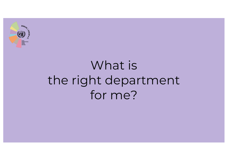

# What is the right department for me?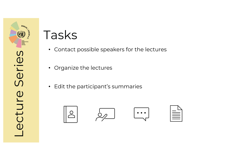

- Contact possible speakers for the lectures
- Organize the lectures
- Edit the participant's summaries

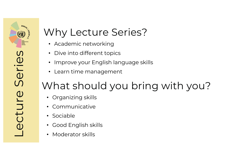### Why Lecture Series?

- Academic networking
- Dive into different topics
- Improve your English language skills
- Learn time management

- Organizing skills
- **Communicative**
- Sociable
- Good English skills
- Moderator skills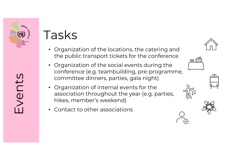

Events

- Organization of the locations, the catering and the public transport tickets for the conference
- Organization of the social events during the conference (e.g. teambuilding, pre-programme, committee dinners, parties, gala night)
- Organization of internal events for the association throughout the year (e.g. parties, hikes, member's weekend)
- Contact to other associations







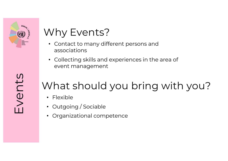

### Why Events?

- Contact to many different persons and associations
- Collecting skills and experiences in the area of event management

- Flexible
- Outgoing / Sociable
- Organizational competence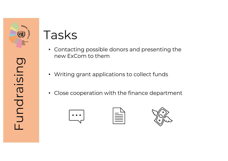

- Contacting possible donors and presenting the new ExCom to them
- Writing grant applications to collect funds
- Close cooperation with the finance department

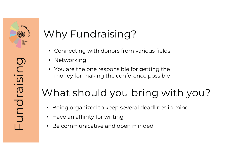

undraisin

### Why Fundraising?

- Connecting with donors from various fields
- Networking
- You are the one responsible for getting the money for making the conference possible

- Being organized to keep several deadlines in mind
- Have an affinity for writing
- Be communicative and open minded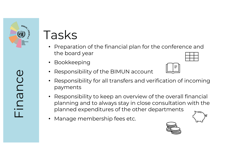

- Preparation of the financial plan for the conference and the board year
- **Bookkeeping**
- Responsibility of the BIMUN account
- Responsibility for all transfers and verification of incoming payments
- Responsibility to keep an overview of the overall financial planning and to always stay in close consultation with the planned expenditures of the other departments
- Manage membership fees etc.



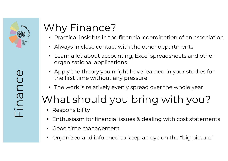

### Why Finance?

- Practical insights in the financial coordination of an association
- Always in close contact with the other departments
- Learn a lot about accounting, Excel spreadsheets and other organisational applications
- Apply the theory you might have learned in your studies for the first time without any pressure
- The work is relatively evenly spread over the whole year

- Responsibility
- Enthusiasm for financial issues & dealing with cost statements
- Good time management
- Organized and informed to keep an eye on the "big picture"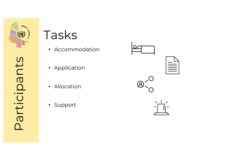

Participants

articipants

- Accommodation
- Application
- Allocation
- Support

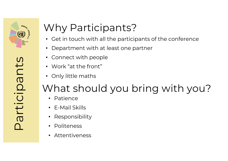

# articipants Participants

### Why Participants?

- Get in touch with all the participants of the conference
- Department with at least one partner
- Connect with people
- Work "at the front"
- Only little maths

- Patience
- E-Mail Skills
- **Responsibility**
- **Politeness**
- Attentiveness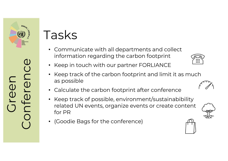

ireer

Conference

U<br>U

- Communicate with all departments and collect information regarding the carbon footprint
- Keep in touch with our partner FORLIANCE
- Keep track of the carbon footprint and limit it as much as possible
- Calculate the carbon footprint after conference
- Keep track of possible, environment/sustainabibility related UN events, organize events or create content for PR
- (Goodie Bags for the conference)







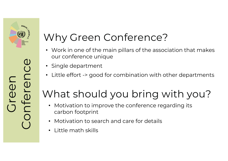

### Why Green Conference?

- Work in one of the main pillars of the association that makes our conference unique
- Single department
- Little effort -> good for combination with other departments

- Motivation to improve the conference regarding its carbon footprint
- Motivation to search and care for details
- Little math skills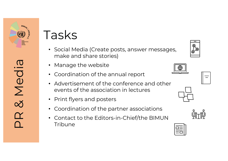

PR & Media

 $\alpha$ 

& Media

- Social Media (Create posts, answer messages, make and share stories)
- Manage the website
- Coordination of the annual report
- Advertisement of the conference and other events of the association in lectures
- Print flyers and posters
- Coordination of the partner associations
- Contact to the Editors-in-Chief/the BIMUN Tribune









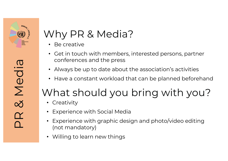

### Why PR & Media?

- Be creative
- Get in touch with members, interested persons, partner conferences and the press
- Always be up to date about the association's activities
- Have a constant workload that can be planned beforehand

- Creativity
- Experience with Social Media
- Experience with graphic design and photo/video editing (not mandatory)
- Willing to learn new things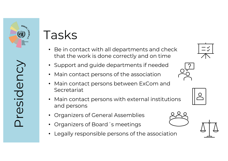

Presidency

cesidency

- Be in contact with all departments and check that the work is done correctly and on time
- Support and guide departments if needed
- Main contact persons of the association
- Main contact persons between ExCom and **Secretariat**
- Main contact persons with external institutions and persons
- Organizers of General Assemblies
- Organizers of Board´s meetings
- Legally responsible persons of the association







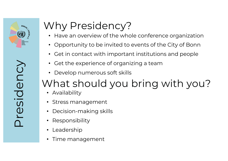

# Why Presidency?

- Have an overview of the whole conference organization
- Opportunity to be invited to events of the City of Bonn
- Get in contact with important institutions and people
- Get the experience of organizing a team
- Develop numerous soft skills

### What should you bring with you?

- Availability
- Stress management
- Decision-making skills
- Responsibility
- Leadership
- Time management

Presidency Presidency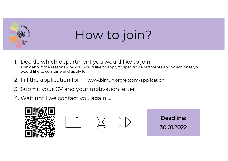

# How to join?

- 1. Decide which department you would like to join Think about the reasons why you would like to apply to specific departments and which ones you would like to combine and apply for
- 2. Fill the application form (www.bimun.org/excom-application)
- 3. Submit your CV and your motivation letter
- 4. Wait until we contact you again …